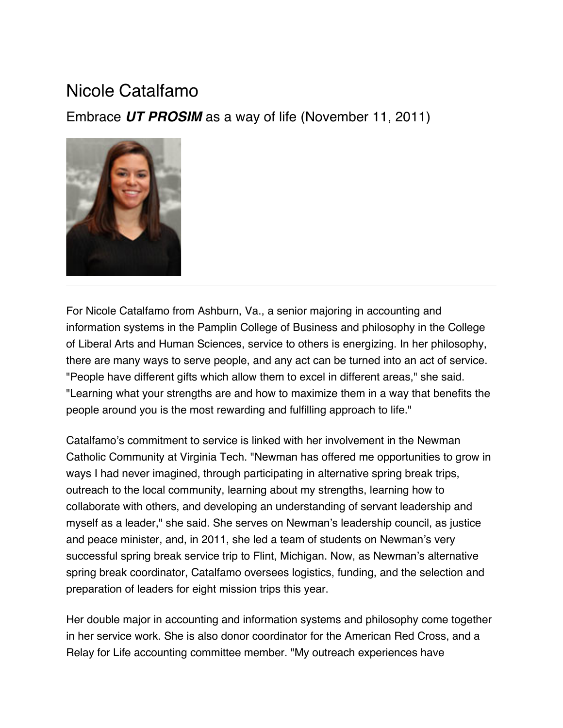## Nicole Catalfamo

Embrace *UT PROSIM* as a way of life (November 11, 2011)



For Nicole Catalfamo from Ashburn, Va., a senior majoring in accounting and information systems in the Pamplin College of Business and philosophy in the College of Liberal Arts and Human Sciences, service to others is energizing. In her philosophy, there are many ways to serve people, and any act can be turned into an act of service. "People have different gifts which allow them to excel in different areas," she said. "Learning what your strengths are and how to maximize them in a way that benefits the people around you is the most rewarding and fulfilling approach to life."

Catalfamo's commitment to service is linked with her involvement in the Newman Catholic Community at Virginia Tech. "Newman has offered me opportunities to grow in ways I had never imagined, through participating in alternative spring break trips, outreach to the local community, learning about my strengths, learning how to collaborate with others, and developing an understanding of servant leadership and myself as a leader," she said. She serves on Newman's leadership council, as justice and peace minister, and, in 2011, she led a team of students on Newman's very successful spring break service trip to Flint, Michigan. Now, as Newman's alternative spring break coordinator, Catalfamo oversees logistics, funding, and the selection and preparation of leaders for eight mission trips this year.

Her double major in accounting and information systems and philosophy come together in her service work. She is also donor coordinator for the American Red Cross, and a Relay for Life accounting committee member. "My outreach experiences have